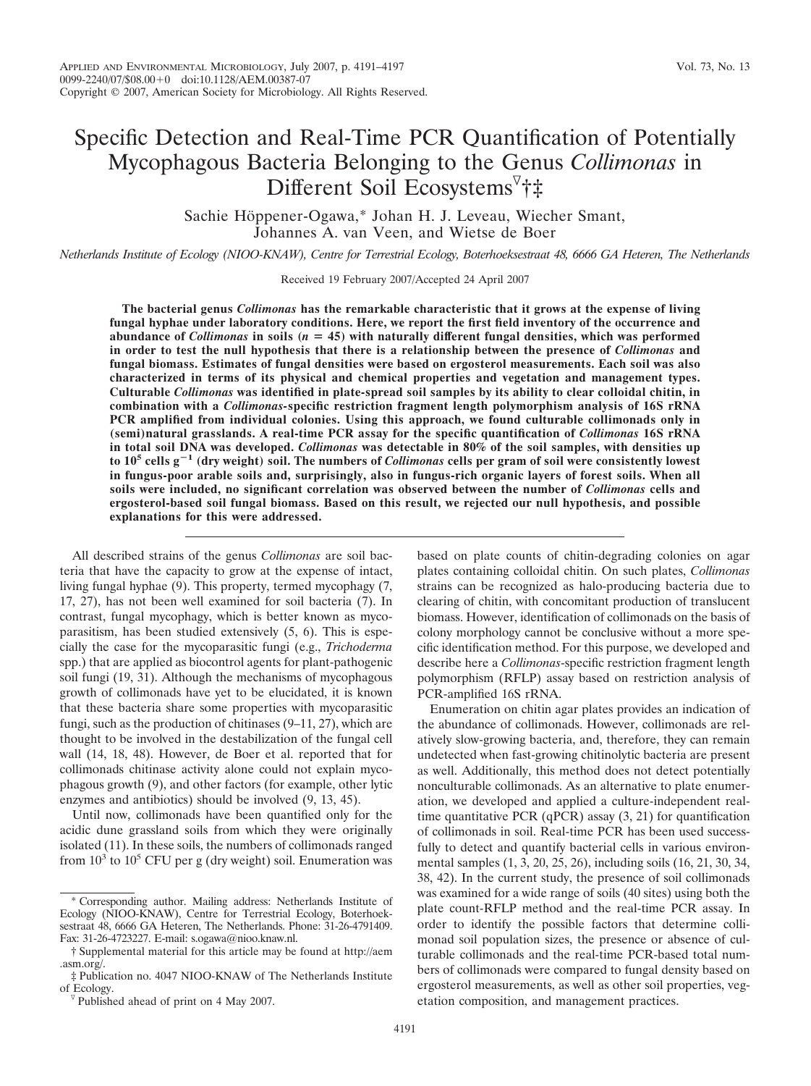# Specific Detection and Real-Time PCR Quantification of Potentially Mycophagous Bacteria Belonging to the Genus *Collimonas* in Different Soil Ecosystems<sup>⊽</sup>†‡

Sachie Höppener-Ogawa,\* Johan H. J. Leveau, Wiecher Smant, Johannes A. van Veen, and Wietse de Boer

*Netherlands Institute of Ecology (NIOO-KNAW), Centre for Terrestrial Ecology, Boterhoeksestraat 48, 6666 GA Heteren, The Netherlands*

Received 19 February 2007/Accepted 24 April 2007

**The bacterial genus** *Collimonas* **has the remarkable characteristic that it grows at the expense of living fungal hyphae under laboratory conditions. Here, we report the first field inventory of the occurrence and abundance of** *Collimonas* **in soils (***n* **45) with naturally different fungal densities, which was performed in order to test the null hypothesis that there is a relationship between the presence of** *Collimonas* **and fungal biomass. Estimates of fungal densities were based on ergosterol measurements. Each soil was also characterized in terms of its physical and chemical properties and vegetation and management types. Culturable** *Collimonas* **was identified in plate-spread soil samples by its ability to clear colloidal chitin, in combination with a** *Collimonas-***specific restriction fragment length polymorphism analysis of 16S rRNA PCR amplified from individual colonies. Using this approach, we found culturable collimonads only in (semi)natural grasslands. A real-time PCR assay for the specific quantification of** *Collimonas* **16S rRNA in total soil DNA was developed.** *Collimonas* **was detectable in 80% of the soil samples, with densities up to 10<sup>5</sup> cells g**-**<sup>1</sup> (dry weight) soil. The numbers of** *Collimonas* **cells per gram of soil were consistently lowest in fungus-poor arable soils and, surprisingly, also in fungus-rich organic layers of forest soils. When all soils were included, no significant correlation was observed between the number of** *Collimonas* **cells and ergosterol-based soil fungal biomass. Based on this result, we rejected our null hypothesis, and possible explanations for this were addressed.**

All described strains of the genus *Collimonas* are soil bacteria that have the capacity to grow at the expense of intact, living fungal hyphae (9). This property, termed mycophagy (7, 17, 27), has not been well examined for soil bacteria (7). In contrast, fungal mycophagy, which is better known as mycoparasitism, has been studied extensively (5, 6). This is especially the case for the mycoparasitic fungi (e.g., *Trichoderma* spp.) that are applied as biocontrol agents for plant-pathogenic soil fungi (19, 31). Although the mechanisms of mycophagous growth of collimonads have yet to be elucidated, it is known that these bacteria share some properties with mycoparasitic fungi, such as the production of chitinases (9–11, 27), which are thought to be involved in the destabilization of the fungal cell wall (14, 18, 48). However, de Boer et al. reported that for collimonads chitinase activity alone could not explain mycophagous growth (9), and other factors (for example, other lytic enzymes and antibiotics) should be involved (9, 13, 45).

Until now, collimonads have been quantified only for the acidic dune grassland soils from which they were originally isolated (11). In these soils, the numbers of collimonads ranged from  $10^3$  to  $10^5$  CFU per g (dry weight) soil. Enumeration was

based on plate counts of chitin-degrading colonies on agar plates containing colloidal chitin. On such plates, *Collimonas* strains can be recognized as halo-producing bacteria due to clearing of chitin, with concomitant production of translucent biomass. However, identification of collimonads on the basis of colony morphology cannot be conclusive without a more specific identification method. For this purpose, we developed and describe here a *Collimonas*-specific restriction fragment length polymorphism (RFLP) assay based on restriction analysis of PCR-amplified 16S rRNA.

Enumeration on chitin agar plates provides an indication of the abundance of collimonads. However, collimonads are relatively slow-growing bacteria, and, therefore, they can remain undetected when fast-growing chitinolytic bacteria are present as well. Additionally, this method does not detect potentially nonculturable collimonads. As an alternative to plate enumeration, we developed and applied a culture-independent realtime quantitative PCR (qPCR) assay (3, 21) for quantification of collimonads in soil. Real-time PCR has been used successfully to detect and quantify bacterial cells in various environmental samples (1, 3, 20, 25, 26), including soils (16, 21, 30, 34, 38, 42). In the current study, the presence of soil collimonads was examined for a wide range of soils (40 sites) using both the plate count-RFLP method and the real-time PCR assay. In order to identify the possible factors that determine collimonad soil population sizes, the presence or absence of culturable collimonads and the real-time PCR-based total numbers of collimonads were compared to fungal density based on ergosterol measurements, as well as other soil properties, vegetation composition, and management practices.

<sup>\*</sup> Corresponding author. Mailing address: Netherlands Institute of Ecology (NIOO-KNAW), Centre for Terrestrial Ecology, Boterhoeksestraat 48, 6666 GA Heteren, The Netherlands. Phone: 31-26-4791409. Fax: 31-26-4723227. E-mail: s.ogawa@nioo.knaw.nl.

<sup>†</sup> Supplemental material for this article may be found at http://aem .asm.org/.

<sup>‡</sup> Publication no. 4047 NIOO-KNAW of The Netherlands Institute

 $\sqrt[p]{}$  Published ahead of print on 4 May 2007.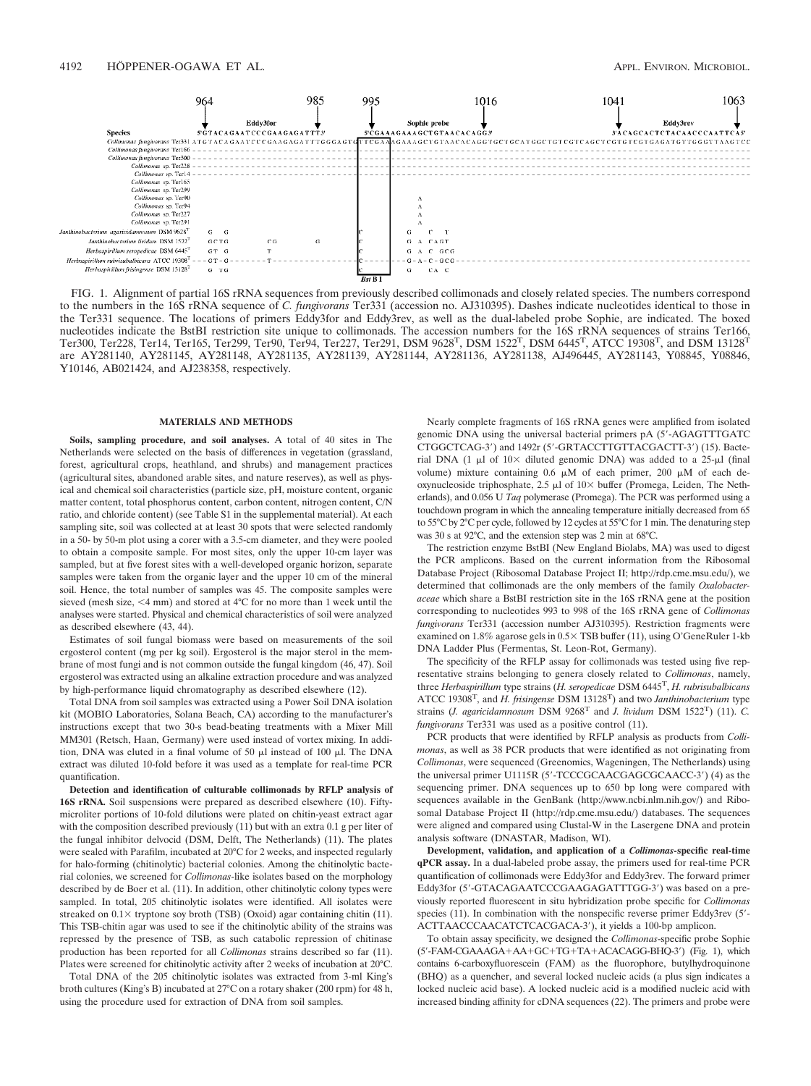

FIG. 1. Alignment of partial 16S rRNA sequences from previously described collimonads and closely related species. The numbers correspond to the numbers in the 16S rRNA sequence of *C. fungivorans* Ter331 (accession no. AJ310395). Dashes indicate nucleotides identical to those in the Ter331 sequence. The locations of primers Eddy3for and Eddy3rev, as well as the dual-labeled probe Sophie, are indicated. The boxed nucleotides indicate the BstBI restriction site unique to collimonads. The accession numbers for the 16S rRNA sequences of strains Ter166, Ter300, Ter228, Ter14, Ter165, Ter299, Ter90, Ter94, Ter227, Ter291, DSM  $9628^T$ , DSM  $1522^T$ , DSM  $6445^T$ , ATCC  $19308^T$ , and DSM  $13128^T$ are AY281140, AY281145, AY281148, AY281135, AY281139, AY281144, AY281136, AY281138, AJ496445, AY281143, Y08845, Y08846, Y10146, AB021424, and AJ238358, respectively.

#### **MATERIALS AND METHODS**

**Soils, sampling procedure, and soil analyses.** A total of 40 sites in The Netherlands were selected on the basis of differences in vegetation (grassland, forest, agricultural crops, heathland, and shrubs) and management practices (agricultural sites, abandoned arable sites, and nature reserves), as well as physical and chemical soil characteristics (particle size, pH, moisture content, organic matter content, total phosphorus content, carbon content, nitrogen content, C/N ratio, and chloride content) (see Table S1 in the supplemental material). At each sampling site, soil was collected at at least 30 spots that were selected randomly in a 50- by 50-m plot using a corer with a 3.5-cm diameter, and they were pooled to obtain a composite sample. For most sites, only the upper 10-cm layer was sampled, but at five forest sites with a well-developed organic horizon, separate samples were taken from the organic layer and the upper 10 cm of the mineral soil. Hence, the total number of samples was 45. The composite samples were sieved (mesh size,  $\leq 4$  mm) and stored at  $4^{\circ}$ C for no more than 1 week until the analyses were started. Physical and chemical characteristics of soil were analyzed as described elsewhere (43, 44).

Estimates of soil fungal biomass were based on measurements of the soil ergosterol content (mg per kg soil). Ergosterol is the major sterol in the membrane of most fungi and is not common outside the fungal kingdom (46, 47). Soil ergosterol was extracted using an alkaline extraction procedure and was analyzed by high-performance liquid chromatography as described elsewhere (12).

Total DNA from soil samples was extracted using a Power Soil DNA isolation kit (MOBIO Laboratories, Solana Beach, CA) according to the manufacturer's instructions except that two 30-s bead-beating treatments with a Mixer Mill MM301 (Retsch, Haan, Germany) were used instead of vortex mixing. In addition, DNA was eluted in a final volume of 50  $\mu$ l instead of 100  $\mu$ l. The DNA extract was diluted 10-fold before it was used as a template for real-time PCR quantification.

**Detection and identification of culturable collimonads by RFLP analysis of 16S rRNA.** Soil suspensions were prepared as described elsewhere (10). Fiftymicroliter portions of 10-fold dilutions were plated on chitin-yeast extract agar with the composition described previously (11) but with an extra 0.1 g per liter of the fungal inhibitor delvocid (DSM, Delft, The Netherlands) (11). The plates were sealed with Parafilm, incubated at 20°C for 2 weeks, and inspected regularly for halo-forming (chitinolytic) bacterial colonies. Among the chitinolytic bacterial colonies, we screened for *Collimonas*-like isolates based on the morphology described by de Boer et al. (11). In addition, other chitinolytic colony types were sampled. In total, 205 chitinolytic isolates were identified. All isolates were streaked on  $0.1 \times$  tryptone soy broth (TSB) (Oxoid) agar containing chitin (11). This TSB-chitin agar was used to see if the chitinolytic ability of the strains was repressed by the presence of TSB, as such catabolic repression of chitinase production has been reported for all *Collimonas* strains described so far (11). Plates were screened for chitinolytic activity after 2 weeks of incubation at 20°C.

Total DNA of the 205 chitinolytic isolates was extracted from 3-ml King's broth cultures (King's B) incubated at 27°C on a rotary shaker (200 rpm) for 48 h, using the procedure used for extraction of DNA from soil samples.

Nearly complete fragments of 16S rRNA genes were amplified from isolated genomic DNA using the universal bacterial primers pA (5-AGAGTTTGATC CTGGCTCAG-3) and 1492r (5-GRTACCTTGTTACGACTT-3) (15). Bacterial DNA (1  $\mu$ l of 10× diluted genomic DNA) was added to a 25- $\mu$ l (final volume) mixture containing  $0.6 \mu M$  of each primer,  $200 \mu M$  of each deoxynucleoside triphosphate, 2.5  $\mu$ l of 10× buffer (Promega, Leiden, The Netherlands), and 0.056 U *Taq* polymerase (Promega). The PCR was performed using a touchdown program in which the annealing temperature initially decreased from 65 to 55°C by 2°C per cycle, followed by 12 cycles at 55°C for 1 min. The denaturing step was 30 s at 92°C, and the extension step was 2 min at 68°C.

The restriction enzyme BstBI (New England Biolabs, MA) was used to digest the PCR amplicons. Based on the current information from the Ribosomal Database Project (Ribosomal Database Project II; http://rdp.cme.msu.edu/), we determined that collimonads are the only members of the family *Oxalobacteraceae* which share a BstBI restriction site in the 16S rRNA gene at the position corresponding to nucleotides 993 to 998 of the 16S rRNA gene of *Collimonas fungivorans* Ter331 (accession number AJ310395). Restriction fragments were examined on 1.8% agarose gels in 0.5 × TSB buffer (11), using O'GeneRuler 1-kb DNA Ladder Plus (Fermentas, St. Leon-Rot, Germany).

The specificity of the RFLP assay for collimonads was tested using five representative strains belonging to genera closely related to *Collimonas*, namely, three *Herbaspirillum* type strains (*H. seropedicae* DSM 6445T, *H. rubrisubalbicans* ATCC 19308T, and *H. frisingense* DSM 13128T) and two *Janthinobacterium* type strains (*J. agaricidamnosum* DSM 9268<sup>T</sup> and *J. lividum* DSM 1522T) (11). *C. fungivorans* Ter331 was used as a positive control (11).

PCR products that were identified by RFLP analysis as products from *Collimonas*, as well as 38 PCR products that were identified as not originating from *Collimonas*, were sequenced (Greenomics, Wageningen, The Netherlands) using the universal primer U1115R (5-TCCCGCAACGAGCGCAACC-3) (4) as the sequencing primer. DNA sequences up to 650 bp long were compared with sequences available in the GenBank (http://www.ncbi.nlm.nih.gov/) and Ribosomal Database Project II (http://rdp.cme.msu.edu/) databases. The sequences were aligned and compared using Clustal-W in the Lasergene DNA and protein analysis software (DNASTAR, Madison, WI).

**Development, validation, and application of a** *Collimonas***-specific real-time qPCR assay.** In a dual-labeled probe assay, the primers used for real-time PCR quantification of collimonads were Eddy3for and Eddy3rev. The forward primer Eddy3for (5'-GTACAGAATCCCGAAGAGATTTGG-3') was based on a previously reported fluorescent in situ hybridization probe specific for *Collimonas* species (11). In combination with the nonspecific reverse primer Eddy3rev (5'-ACTTAACCCAACATCTCACGACA-3), it yields a 100-bp amplicon.

To obtain assay specificity, we designed the *Collimonas*-specific probe Sophie (5'-FAM-CGAAAGA+AA+GC+TG+TA+ACACAGG-BHQ-3') (Fig. 1), which contains 6-carboxyfluorescein (FAM) as the fluorophore, butylhydroquinone (BHQ) as a quencher, and several locked nucleic acids (a plus sign indicates a locked nucleic acid base). A locked nucleic acid is a modified nucleic acid with increased binding affinity for cDNA sequences (22). The primers and probe were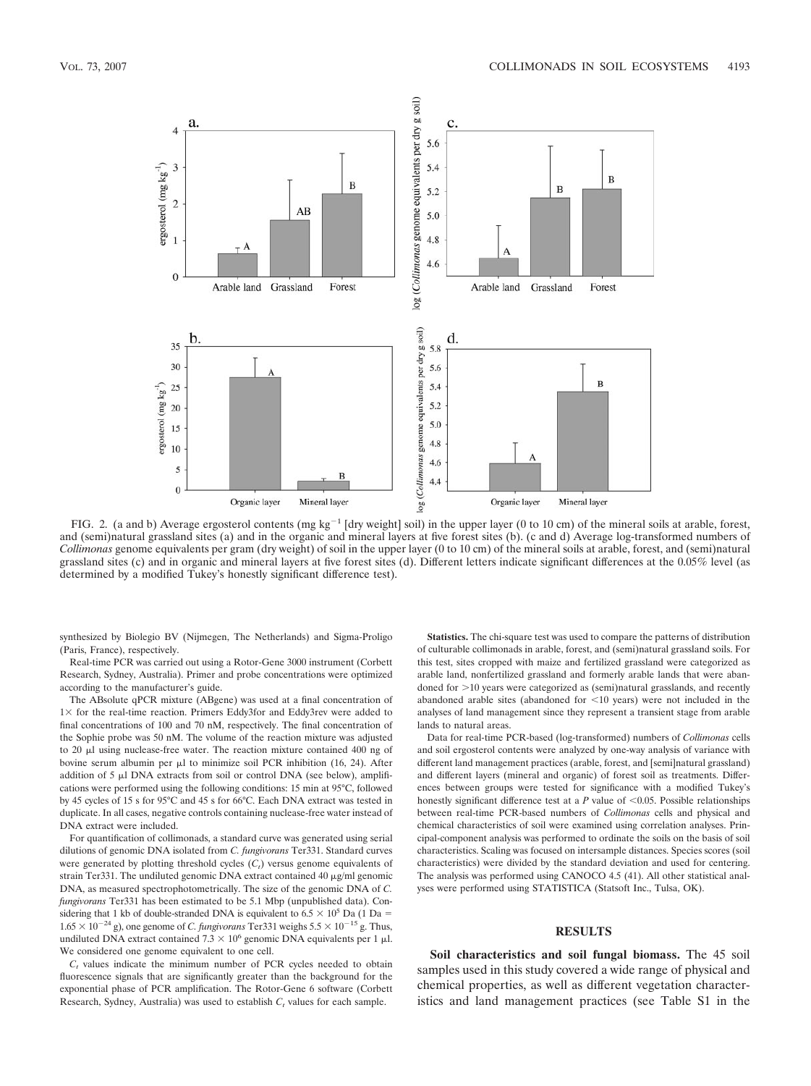

FIG. 2. (a and b) Average ergosterol contents (mg kg<sup>-1</sup> [dry weight] soil) in the upper layer (0 to 10 cm) of the mineral soils at arable, forest, and (semi)natural grassland sites (a) and in the organic and mineral layers at five forest sites (b). (c and d) Average log-transformed numbers of *Collimonas* genome equivalents per gram (dry weight) of soil in the upper layer (0 to 10 cm) of the mineral soils at arable, forest, and (semi)natural grassland sites (c) and in organic and mineral layers at five forest sites (d). Different letters indicate significant differences at the 0.05% level (as determined by a modified Tukey's honestly significant difference test).

synthesized by Biolegio BV (Nijmegen, The Netherlands) and Sigma-Proligo (Paris, France), respectively.

Real-time PCR was carried out using a Rotor-Gene 3000 instrument (Corbett Research, Sydney, Australia). Primer and probe concentrations were optimized according to the manufacturer's guide.

The ABsolute qPCR mixture (ABgene) was used at a final concentration of  $1 \times$  for the real-time reaction. Primers Eddy3for and Eddy3rev were added to final concentrations of 100 and 70 nM, respectively. The final concentration of the Sophie probe was 50 nM. The volume of the reaction mixture was adjusted to 20  $\mu$ l using nuclease-free water. The reaction mixture contained 400 ng of bovine serum albumin per  $\mu$ l to minimize soil PCR inhibition (16, 24). After addition of 5  $\mu$ l DNA extracts from soil or control DNA (see below), amplifications were performed using the following conditions: 15 min at 95°C, followed by 45 cycles of 15 s for 95°C and 45 s for 66°C. Each DNA extract was tested in duplicate. In all cases, negative controls containing nuclease-free water instead of DNA extract were included.

For quantification of collimonads, a standard curve was generated using serial dilutions of genomic DNA isolated from *C. fungivorans* Ter331. Standard curves were generated by plotting threshold cycles  $(C<sub>t</sub>)$  versus genome equivalents of strain Ter331. The undiluted genomic DNA extract contained 40  $\mu$ g/ml genomic DNA, as measured spectrophotometrically. The size of the genomic DNA of *C. fungivorans* Ter331 has been estimated to be 5.1 Mbp (unpublished data). Considering that 1 kb of double-stranded DNA is equivalent to  $6.5 \times 10^5$  Da (1 Da =  $1.65 \times 10^{-24}$  g), one genome of *C. fungivorans* Ter331 weighs  $5.5 \times 10^{-15}$  g. Thus, undiluted DNA extract contained  $7.3 \times 10^6$  genomic DNA equivalents per 1 µl. We considered one genome equivalent to one cell.

 $C<sub>t</sub>$  values indicate the minimum number of PCR cycles needed to obtain fluorescence signals that are significantly greater than the background for the exponential phase of PCR amplification. The Rotor-Gene 6 software (Corbett Research, Sydney, Australia) was used to establish  $C<sub>t</sub>$  values for each sample.

**Statistics.** The chi-square test was used to compare the patterns of distribution of culturable collimonads in arable, forest, and (semi)natural grassland soils. For this test, sites cropped with maize and fertilized grassland were categorized as arable land, nonfertilized grassland and formerly arable lands that were abandoned for  $>$ 10 years were categorized as (semi)natural grasslands, and recently abandoned arable sites (abandoned for  $\leq 10$  years) were not included in the analyses of land management since they represent a transient stage from arable lands to natural areas.

Data for real-time PCR-based (log-transformed) numbers of *Collimonas* cells and soil ergosterol contents were analyzed by one-way analysis of variance with different land management practices (arable, forest, and [semi]natural grassland) and different layers (mineral and organic) of forest soil as treatments. Differences between groups were tested for significance with a modified Tukey's honestly significant difference test at a  $P$  value of  $\leq 0.05$ . Possible relationships between real-time PCR-based numbers of *Collimonas* cells and physical and chemical characteristics of soil were examined using correlation analyses. Principal-component analysis was performed to ordinate the soils on the basis of soil characteristics. Scaling was focused on intersample distances. Species scores (soil characteristics) were divided by the standard deviation and used for centering. The analysis was performed using CANOCO 4.5 (41). All other statistical analyses were performed using STATISTICA (Statsoft Inc., Tulsa, OK).

#### **RESULTS**

**Soil characteristics and soil fungal biomass.** The 45 soil samples used in this study covered a wide range of physical and chemical properties, as well as different vegetation characteristics and land management practices (see Table S1 in the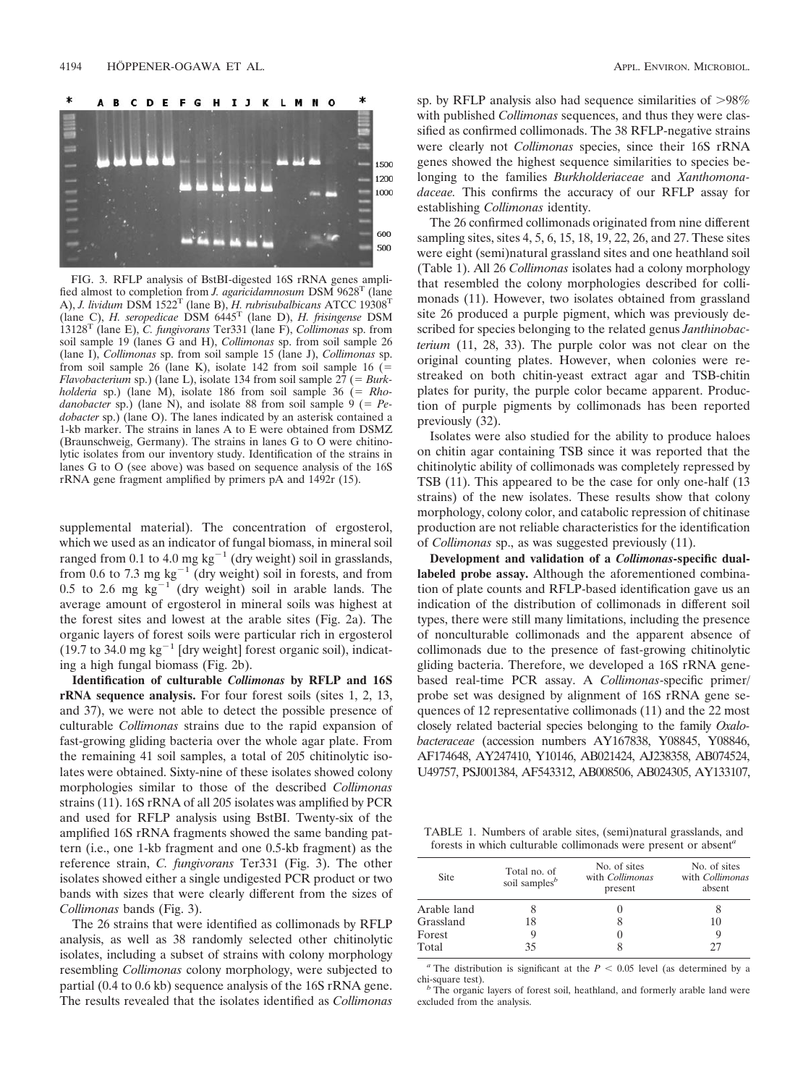

FIG. 3. RFLP analysis of BstBI-digested 16S rRNA genes amplified almost to completion from *J. agaricidamnosum* DSM 9628T (lane A), *J. lividum* DSM 1522T (lane B), *H. rubrisubalbicans* ATCC 19308T (lane C), *H. seropedicae* DSM 6445T (lane D), *H. frisingense* DSM 13128T (lane E), *C. fungivorans* Ter331 (lane F), *Collimonas* sp. from soil sample 19 (lanes G and H), *Collimonas* sp. from soil sample 26 (lane I), *Collimonas* sp. from soil sample 15 (lane J), *Collimonas* sp. from soil sample 26 (lane K), isolate  $142$  from soil sample  $16$  (= *Flavobacterium* sp.) (lane L), isolate 134 from soil sample 27 (= Burk*holderia* sp.) (lane M), isolate 186 from soil sample 36 (= Rho*danobacter* sp.) (lane N), and isolate 88 from soil sample  $9$  (=  $Pe$ *dobacter* sp.) (lane O). The lanes indicated by an asterisk contained a 1-kb marker. The strains in lanes A to E were obtained from DSMZ (Braunschweig, Germany). The strains in lanes G to O were chitinolytic isolates from our inventory study. Identification of the strains in lanes G to O (see above) was based on sequence analysis of the 16S rRNA gene fragment amplified by primers pA and 1492r (15).

supplemental material). The concentration of ergosterol, which we used as an indicator of fungal biomass, in mineral soil ranged from 0.1 to 4.0 mg  $kg^{-1}$  (dry weight) soil in grasslands, from 0.6 to 7.3 mg  $kg^{-1}$  (dry weight) soil in forests, and from 0.5 to 2.6 mg  $kg^{-1}$  (dry weight) soil in arable lands. The average amount of ergosterol in mineral soils was highest at the forest sites and lowest at the arable sites (Fig. 2a). The organic layers of forest soils were particular rich in ergosterol (19.7 to 34.0 mg kg<sup>-1</sup> [dry weight] forest organic soil), indicating a high fungal biomass (Fig. 2b).

**Identification of culturable** *Collimonas* **by RFLP and 16S rRNA sequence analysis.** For four forest soils (sites 1, 2, 13, and 37), we were not able to detect the possible presence of culturable *Collimonas* strains due to the rapid expansion of fast-growing gliding bacteria over the whole agar plate. From the remaining 41 soil samples, a total of 205 chitinolytic isolates were obtained. Sixty-nine of these isolates showed colony morphologies similar to those of the described *Collimonas* strains (11). 16S rRNA of all 205 isolates was amplified by PCR and used for RFLP analysis using BstBI. Twenty-six of the amplified 16S rRNA fragments showed the same banding pattern (i.e., one 1-kb fragment and one 0.5-kb fragment) as the reference strain, *C. fungivorans* Ter331 (Fig. 3). The other isolates showed either a single undigested PCR product or two bands with sizes that were clearly different from the sizes of *Collimonas* bands (Fig. 3).

The 26 strains that were identified as collimonads by RFLP analysis, as well as 38 randomly selected other chitinolytic isolates, including a subset of strains with colony morphology resembling *Collimonas* colony morphology, were subjected to partial (0.4 to 0.6 kb) sequence analysis of the 16S rRNA gene. The results revealed that the isolates identified as *Collimonas*

sp. by RFLP analysis also had sequence similarities of  $>98\%$ with published *Collimonas* sequences, and thus they were classified as confirmed collimonads. The 38 RFLP-negative strains were clearly not *Collimonas* species, since their 16S rRNA genes showed the highest sequence similarities to species belonging to the families *Burkholderiaceae* and *Xanthomonadaceae.* This confirms the accuracy of our RFLP assay for establishing *Collimonas* identity.

The 26 confirmed collimonads originated from nine different sampling sites, sites 4, 5, 6, 15, 18, 19, 22, 26, and 27. These sites were eight (semi)natural grassland sites and one heathland soil (Table 1). All 26 *Collimonas* isolates had a colony morphology that resembled the colony morphologies described for collimonads (11). However, two isolates obtained from grassland site 26 produced a purple pigment, which was previously described for species belonging to the related genus *Janthinobacterium* (11, 28, 33). The purple color was not clear on the original counting plates. However, when colonies were restreaked on both chitin-yeast extract agar and TSB-chitin plates for purity, the purple color became apparent. Production of purple pigments by collimonads has been reported previously (32).

Isolates were also studied for the ability to produce haloes on chitin agar containing TSB since it was reported that the chitinolytic ability of collimonads was completely repressed by TSB (11). This appeared to be the case for only one-half (13 strains) of the new isolates. These results show that colony morphology, colony color, and catabolic repression of chitinase production are not reliable characteristics for the identification of *Collimonas* sp., as was suggested previously (11).

**Development and validation of a** *Collimonas***-specific duallabeled probe assay.** Although the aforementioned combination of plate counts and RFLP-based identification gave us an indication of the distribution of collimonads in different soil types, there were still many limitations, including the presence of nonculturable collimonads and the apparent absence of collimonads due to the presence of fast-growing chitinolytic gliding bacteria. Therefore, we developed a 16S rRNA genebased real-time PCR assay. A *Collimonas*-specific primer/ probe set was designed by alignment of 16S rRNA gene sequences of 12 representative collimonads (11) and the 22 most closely related bacterial species belonging to the family *Oxalobacteraceae* (accession numbers AY167838, Y08845, Y08846, AF174648, AY247410, Y10146, AB021424, AJ238358, AB074524, U49757, PSJ001384, AF543312, AB008506, AB024305, AY133107,

TABLE 1. Numbers of arable sites, (semi)natural grasslands, and forests in which culturable collimonads were present or absent*<sup>a</sup>*

| Total no. of<br>soil samples <sup>b</sup> | No. of sites<br>with Collimonas<br>present | No. of sites<br>with Collimonas<br>absent |
|-------------------------------------------|--------------------------------------------|-------------------------------------------|
|                                           |                                            |                                           |
| 18                                        |                                            | 10                                        |
| Q                                         |                                            |                                           |
| 35                                        |                                            |                                           |
|                                           |                                            |                                           |

 $a$  The distribution is significant at the  $P < 0.05$  level (as determined by a chi-square test). *<sup>b</sup>* The organic layers of forest soil, heathland, and formerly arable land were

excluded from the analysis.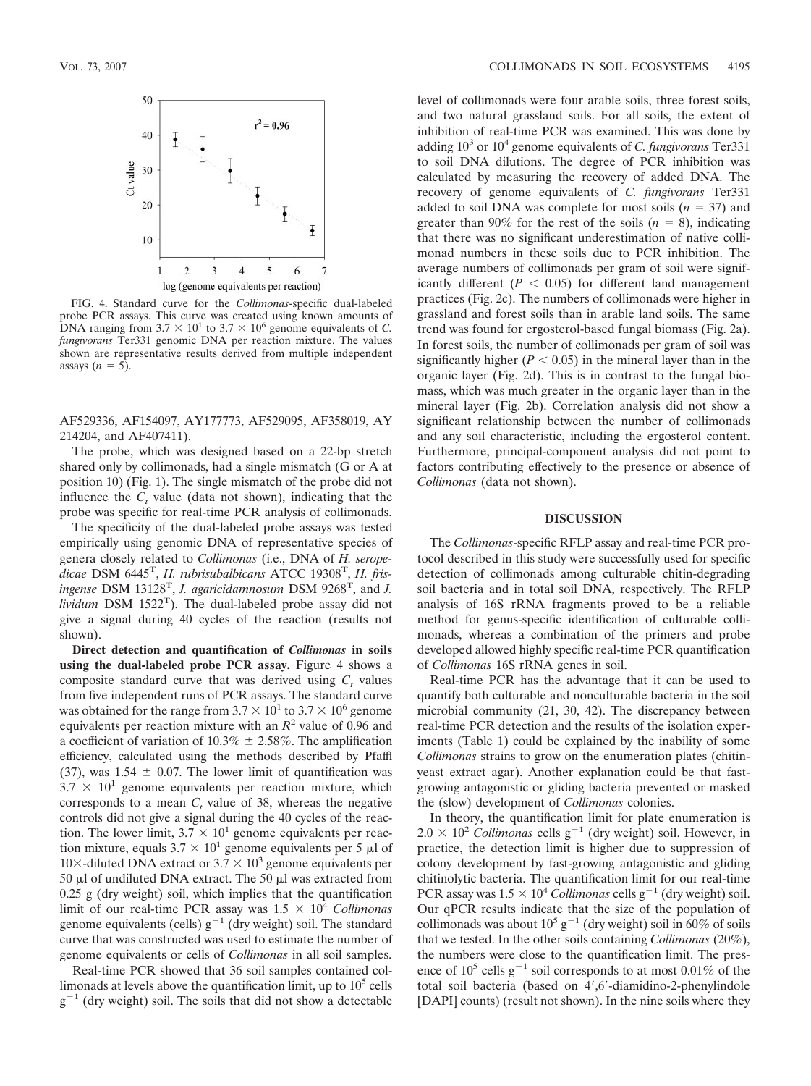

FIG. 4. Standard curve for the *Collimonas*-specific dual-labeled probe PCR assays. This curve was created using known amounts of DNA ranging from  $3.7 \times 10^1$  to  $3.7 \times 10^6$  genome equivalents of *C*. *fungivorans* Ter331 genomic DNA per reaction mixture. The values shown are representative results derived from multiple independent assays  $(n = 5)$ .

AF529336, AF154097, AY177773, AF529095, AF358019, AY 214204, and AF407411).

The probe, which was designed based on a 22-bp stretch shared only by collimonads, had a single mismatch (G or A at position 10) (Fig. 1). The single mismatch of the probe did not influence the  $C_t$  value (data not shown), indicating that the probe was specific for real-time PCR analysis of collimonads.

The specificity of the dual-labeled probe assays was tested empirically using genomic DNA of representative species of genera closely related to *Collimonas* (i.e., DNA of *H. seropedicae* DSM 6445T , *H. rubrisubalbicans* ATCC 19308T , *H. frisingense* DSM 13128T , *J. agaricidamnosum* DSM 9268T , and *J. lividum* DSM 1522T ). The dual-labeled probe assay did not give a signal during 40 cycles of the reaction (results not shown).

**Direct detection and quantification of** *Collimonas* **in soils using the dual-labeled probe PCR assay.** Figure 4 shows a composite standard curve that was derived using  $C_t$  values from five independent runs of PCR assays. The standard curve was obtained for the range from  $3.7 \times 10^1$  to  $3.7 \times 10^6$  genome equivalents per reaction mixture with an  $R^2$  value of 0.96 and a coefficient of variation of  $10.3\% \pm 2.58\%$ . The amplification efficiency, calculated using the methods described by Pfaffl (37), was  $1.54 \pm 0.07$ . The lower limit of quantification was  $3.7 \times 10^{1}$  genome equivalents per reaction mixture, which corresponds to a mean  $C_t$  value of 38, whereas the negative controls did not give a signal during the 40 cycles of the reaction. The lower limit,  $3.7 \times 10^1$  genome equivalents per reaction mixture, equals  $3.7 \times 10^1$  genome equivalents per 5 µl of 10 $\times$ -diluted DNA extract or 3.7  $\times$  10<sup>3</sup> genome equivalents per 50  $\mu$ l of undiluted DNA extract. The 50  $\mu$ l was extracted from 0.25 g (dry weight) soil, which implies that the quantification limit of our real-time PCR assay was  $1.5 \times 10^4$  *Collimonas* genome equivalents (cells)  $g^{-1}$  (dry weight) soil. The standard curve that was constructed was used to estimate the number of genome equivalents or cells of *Collimonas* in all soil samples.

Real-time PCR showed that 36 soil samples contained collimonads at levels above the quantification limit, up to  $10<sup>5</sup>$  cells  $g^{-1}$  (dry weight) soil. The soils that did not show a detectable

level of collimonads were four arable soils, three forest soils, and two natural grassland soils. For all soils, the extent of inhibition of real-time PCR was examined. This was done by adding 103 or 104 genome equivalents of *C. fungivorans* Ter331 to soil DNA dilutions. The degree of PCR inhibition was calculated by measuring the recovery of added DNA. The recovery of genome equivalents of *C. fungivorans* Ter331 added to soil DNA was complete for most soils  $(n = 37)$  and greater than 90% for the rest of the soils  $(n = 8)$ , indicating that there was no significant underestimation of native collimonad numbers in these soils due to PCR inhibition. The average numbers of collimonads per gram of soil were significantly different  $(P < 0.05)$  for different land management practices (Fig. 2c). The numbers of collimonads were higher in grassland and forest soils than in arable land soils. The same trend was found for ergosterol-based fungal biomass (Fig. 2a). In forest soils, the number of collimonads per gram of soil was significantly higher  $(P < 0.05)$  in the mineral layer than in the organic layer (Fig. 2d). This is in contrast to the fungal biomass, which was much greater in the organic layer than in the mineral layer (Fig. 2b). Correlation analysis did not show a significant relationship between the number of collimonads and any soil characteristic, including the ergosterol content. Furthermore, principal-component analysis did not point to factors contributing effectively to the presence or absence of *Collimonas* (data not shown).

## **DISCUSSION**

The *Collimonas*-specific RFLP assay and real-time PCR protocol described in this study were successfully used for specific detection of collimonads among culturable chitin-degrading soil bacteria and in total soil DNA, respectively. The RFLP analysis of 16S rRNA fragments proved to be a reliable method for genus-specific identification of culturable collimonads, whereas a combination of the primers and probe developed allowed highly specific real-time PCR quantification of *Collimonas* 16S rRNA genes in soil.

Real-time PCR has the advantage that it can be used to quantify both culturable and nonculturable bacteria in the soil microbial community (21, 30, 42). The discrepancy between real-time PCR detection and the results of the isolation experiments (Table 1) could be explained by the inability of some *Collimonas* strains to grow on the enumeration plates (chitinyeast extract agar). Another explanation could be that fastgrowing antagonistic or gliding bacteria prevented or masked the (slow) development of *Collimonas* colonies.

In theory, the quantification limit for plate enumeration is  $2.0 \times 10^2$  *Collimonas* cells g<sup>-1</sup> (dry weight) soil. However, in practice, the detection limit is higher due to suppression of colony development by fast-growing antagonistic and gliding chitinolytic bacteria. The quantification limit for our real-time PCR assay was  $1.5 \times 10^4$  *Collimonas* cells g<sup>-1</sup> (dry weight) soil. Our qPCR results indicate that the size of the population of collimonads was about  $10^5$  g<sup>-1</sup> (dry weight) soil in 60% of soils that we tested. In the other soils containing *Collimonas* (20%), the numbers were close to the quantification limit. The presence of  $10^5$  cells g<sup>-1</sup> soil corresponds to at most 0.01% of the total soil bacteria (based on 4',6'-diamidino-2-phenylindole [DAPI] counts) (result not shown). In the nine soils where they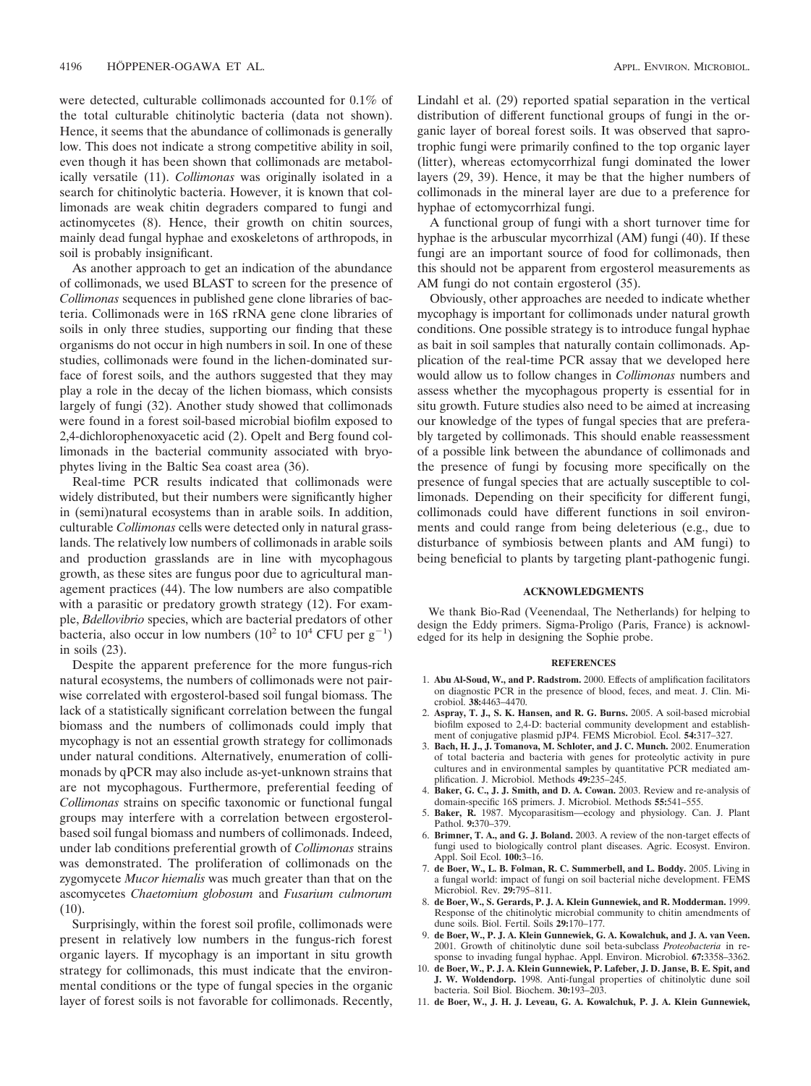were detected, culturable collimonads accounted for 0.1% of the total culturable chitinolytic bacteria (data not shown). Hence, it seems that the abundance of collimonads is generally low. This does not indicate a strong competitive ability in soil, even though it has been shown that collimonads are metabolically versatile (11). *Collimonas* was originally isolated in a search for chitinolytic bacteria. However, it is known that collimonads are weak chitin degraders compared to fungi and actinomycetes (8). Hence, their growth on chitin sources, mainly dead fungal hyphae and exoskeletons of arthropods, in

soil is probably insignificant. As another approach to get an indication of the abundance of collimonads, we used BLAST to screen for the presence of *Collimonas* sequences in published gene clone libraries of bacteria. Collimonads were in 16S rRNA gene clone libraries of soils in only three studies, supporting our finding that these organisms do not occur in high numbers in soil. In one of these studies, collimonads were found in the lichen-dominated surface of forest soils, and the authors suggested that they may play a role in the decay of the lichen biomass, which consists largely of fungi (32). Another study showed that collimonads were found in a forest soil-based microbial biofilm exposed to 2,4-dichlorophenoxyacetic acid (2). Opelt and Berg found collimonads in the bacterial community associated with bryophytes living in the Baltic Sea coast area (36).

Real-time PCR results indicated that collimonads were widely distributed, but their numbers were significantly higher in (semi)natural ecosystems than in arable soils. In addition, culturable *Collimonas* cells were detected only in natural grasslands. The relatively low numbers of collimonads in arable soils and production grasslands are in line with mycophagous growth, as these sites are fungus poor due to agricultural management practices (44). The low numbers are also compatible with a parasitic or predatory growth strategy (12). For example, *Bdellovibrio* species, which are bacterial predators of other bacteria, also occur in low numbers ( $10^2$  to  $10^4$  CFU per  $g^{-1}$ ) in soils (23).

Despite the apparent preference for the more fungus-rich natural ecosystems, the numbers of collimonads were not pairwise correlated with ergosterol-based soil fungal biomass. The lack of a statistically significant correlation between the fungal biomass and the numbers of collimonads could imply that mycophagy is not an essential growth strategy for collimonads under natural conditions. Alternatively, enumeration of collimonads by qPCR may also include as-yet-unknown strains that are not mycophagous. Furthermore, preferential feeding of *Collimonas* strains on specific taxonomic or functional fungal groups may interfere with a correlation between ergosterolbased soil fungal biomass and numbers of collimonads. Indeed, under lab conditions preferential growth of *Collimonas* strains was demonstrated. The proliferation of collimonads on the zygomycete *Mucor hiemalis* was much greater than that on the ascomycetes *Chaetomium globosum* and *Fusarium culmorum* (10).

Surprisingly, within the forest soil profile, collimonads were present in relatively low numbers in the fungus-rich forest organic layers. If mycophagy is an important in situ growth strategy for collimonads, this must indicate that the environmental conditions or the type of fungal species in the organic layer of forest soils is not favorable for collimonads. Recently,

Lindahl et al. (29) reported spatial separation in the vertical distribution of different functional groups of fungi in the organic layer of boreal forest soils. It was observed that saprotrophic fungi were primarily confined to the top organic layer (litter), whereas ectomycorrhizal fungi dominated the lower layers (29, 39). Hence, it may be that the higher numbers of collimonads in the mineral layer are due to a preference for hyphae of ectomycorrhizal fungi.

A functional group of fungi with a short turnover time for hyphae is the arbuscular mycorrhizal (AM) fungi (40). If these fungi are an important source of food for collimonads, then this should not be apparent from ergosterol measurements as AM fungi do not contain ergosterol (35).

Obviously, other approaches are needed to indicate whether mycophagy is important for collimonads under natural growth conditions. One possible strategy is to introduce fungal hyphae as bait in soil samples that naturally contain collimonads. Application of the real-time PCR assay that we developed here would allow us to follow changes in *Collimonas* numbers and assess whether the mycophagous property is essential for in situ growth. Future studies also need to be aimed at increasing our knowledge of the types of fungal species that are preferably targeted by collimonads. This should enable reassessment of a possible link between the abundance of collimonads and the presence of fungi by focusing more specifically on the presence of fungal species that are actually susceptible to collimonads. Depending on their specificity for different fungi, collimonads could have different functions in soil environments and could range from being deleterious (e.g., due to disturbance of symbiosis between plants and AM fungi) to being beneficial to plants by targeting plant-pathogenic fungi.

## **ACKNOWLEDGMENTS**

We thank Bio-Rad (Veenendaal, The Netherlands) for helping to design the Eddy primers. Sigma-Proligo (Paris, France) is acknowledged for its help in designing the Sophie probe.

### **REFERENCES**

- 1. **Abu Al-Soud, W., and P. Radstrom.** 2000. Effects of amplification facilitators on diagnostic PCR in the presence of blood, feces, and meat. J. Clin. Microbiol. **38:**4463–4470.
- 2. **Aspray, T. J., S. K. Hansen, and R. G. Burns.** 2005. A soil-based microbial biofilm exposed to 2,4-D: bacterial community development and establishment of conjugative plasmid pJP4. FEMS Microbiol. Ecol. **54:**317–327.
- 3. **Bach, H. J., J. Tomanova, M. Schloter, and J. C. Munch.** 2002. Enumeration of total bacteria and bacteria with genes for proteolytic activity in pure cultures and in environmental samples by quantitative PCR mediated amplification. J. Microbiol. Methods **49:**235–245.
- 4. **Baker, G. C., J. J. Smith, and D. A. Cowan.** 2003. Review and re-analysis of domain-specific 16S primers. J. Microbiol. Methods **55:**541–555.
- 5. **Baker, R.** 1987. Mycoparasitism—ecology and physiology. Can. J. Plant Pathol. **9:**370–379.
- 6. **Brimner, T. A., and G. J. Boland.** 2003. A review of the non-target effects of fungi used to biologically control plant diseases. Agric. Ecosyst. Environ. Appl. Soil Ecol. **100:**3–16.
- 7. **de Boer, W., L. B. Folman, R. C. Summerbell, and L. Boddy.** 2005. Living in a fungal world: impact of fungi on soil bacterial niche development. FEMS Microbiol. Rev. **29:**795–811.
- 8. **de Boer, W., S. Gerards, P. J. A. Klein Gunnewiek, and R. Modderman.** 1999. Response of the chitinolytic microbial community to chitin amendments of dune soils. Biol. Fertil. Soils **29:**170–177.
- 9. **de Boer, W., P. J. A. Klein Gunnewiek, G. A. Kowalchuk, and J. A. van Veen.** 2001. Growth of chitinolytic dune soil beta-subclass *Proteobacteria* in response to invading fungal hyphae. Appl. Environ. Microbiol. **67:**3358–3362.
- 10. **de Boer, W., P. J. A. Klein Gunnewiek, P. Lafeber, J. D. Janse, B. E. Spit, and J. W. Woldendorp.** 1998. Anti-fungal properties of chitinolytic dune soil bacteria. Soil Biol. Biochem. **30:**193–203.
- 11. **de Boer, W., J. H. J. Leveau, G. A. Kowalchuk, P. J. A. Klein Gunnewiek,**